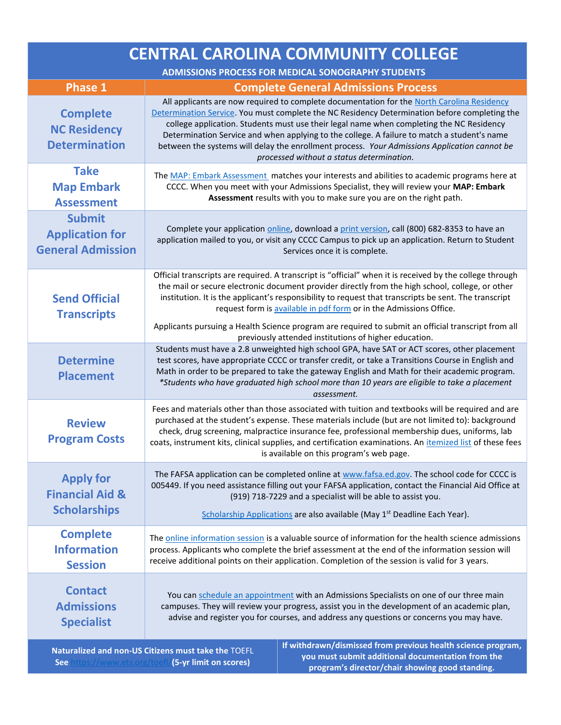| <b>CENTRAL CAROLINA COMMUNITY COLLEGE</b>                                                                                                                                |                                                                                                                                                                                                                                                                                                                                                                                                                                                                                                                                     |
|--------------------------------------------------------------------------------------------------------------------------------------------------------------------------|-------------------------------------------------------------------------------------------------------------------------------------------------------------------------------------------------------------------------------------------------------------------------------------------------------------------------------------------------------------------------------------------------------------------------------------------------------------------------------------------------------------------------------------|
| ADMISSIONS PROCESS FOR MEDICAL SONOGRAPHY STUDENTS                                                                                                                       |                                                                                                                                                                                                                                                                                                                                                                                                                                                                                                                                     |
| <b>Phase 1</b>                                                                                                                                                           | <b>Complete General Admissions Process</b>                                                                                                                                                                                                                                                                                                                                                                                                                                                                                          |
| <b>Complete</b><br><b>NC Residency</b><br><b>Determination</b>                                                                                                           | All applicants are now required to complete documentation for the North Carolina Residency<br>Determination Service. You must complete the NC Residency Determination before completing the<br>college application. Students must use their legal name when completing the NC Residency<br>Determination Service and when applying to the college. A failure to match a student's name<br>between the systems will delay the enrollment process. Your Admissions Application cannot be<br>processed without a status determination. |
| <b>Take</b><br><b>Map Embark</b><br><b>Assessment</b>                                                                                                                    | The MAP: Embark Assessment matches your interests and abilities to academic programs here at<br>CCCC. When you meet with your Admissions Specialist, they will review your MAP: Embark<br>Assessment results with you to make sure you are on the right path.                                                                                                                                                                                                                                                                       |
| <b>Submit</b><br><b>Application for</b><br><b>General Admission</b>                                                                                                      | Complete your application online, download a print version, call (800) 682-8353 to have an<br>application mailed to you, or visit any CCCC Campus to pick up an application. Return to Student<br>Services once it is complete.                                                                                                                                                                                                                                                                                                     |
| <b>Send Official</b><br><b>Transcripts</b>                                                                                                                               | Official transcripts are required. A transcript is "official" when it is received by the college through<br>the mail or secure electronic document provider directly from the high school, college, or other<br>institution. It is the applicant's responsibility to request that transcripts be sent. The transcript<br>request form is available in pdf form or in the Admissions Office.                                                                                                                                         |
|                                                                                                                                                                          | Applicants pursuing a Health Science program are required to submit an official transcript from all<br>previously attended institutions of higher education.                                                                                                                                                                                                                                                                                                                                                                        |
| <b>Determine</b><br><b>Placement</b>                                                                                                                                     | Students must have a 2.8 unweighted high school GPA, have SAT or ACT scores, other placement<br>test scores, have appropriate CCCC or transfer credit, or take a Transitions Course in English and<br>Math in order to be prepared to take the gateway English and Math for their academic program.<br>*Students who have graduated high school more than 10 years are eligible to take a placement<br>assessment.                                                                                                                  |
| <b>Review</b><br><b>Program Costs</b>                                                                                                                                    | Fees and materials other than those associated with tuition and textbooks will be required and are<br>purchased at the student's expense. These materials include (but are not limited to): background<br>check, drug screening, malpractice insurance fee, professional membership dues, uniforms, lab<br>coats, instrument kits, clinical supplies, and certification examinations. An itemized list of these fees<br>is available on this program's web page.                                                                    |
| <b>Apply for</b><br><b>Financial Aid &amp;</b><br><b>Scholarships</b>                                                                                                    | The FAFSA application can be completed online at www.fafsa.ed.gov. The school code for CCCC is<br>005449. If you need assistance filling out your FAFSA application, contact the Financial Aid Office at<br>(919) 718-7229 and a specialist will be able to assist you.                                                                                                                                                                                                                                                             |
|                                                                                                                                                                          | Scholarship Applications are also available (May 1 <sup>st</sup> Deadline Each Year).                                                                                                                                                                                                                                                                                                                                                                                                                                               |
| <b>Complete</b><br><b>Information</b><br><b>Session</b>                                                                                                                  | The online information session is a valuable source of information for the health science admissions<br>process. Applicants who complete the brief assessment at the end of the information session will<br>receive additional points on their application. Completion of the session is valid for 3 years.                                                                                                                                                                                                                         |
| <b>Contact</b><br><b>Admissions</b><br><b>Specialist</b>                                                                                                                 | You can schedule an appointment with an Admissions Specialists on one of our three main<br>campuses. They will review your progress, assist you in the development of an academic plan,<br>advise and register you for courses, and address any questions or concerns you may have.                                                                                                                                                                                                                                                 |
| If withdrawn/dismissed from previous health science program,<br>Naturalized and non-US Citizens must take the TOEFL<br>vou must submit additional documentation from the |                                                                                                                                                                                                                                                                                                                                                                                                                                                                                                                                     |

**See** <https://www.ets.org/toefl/>**(5-yr limit on scores)**

**you must submit additional documentation from the program's director/chair showing good standing.**